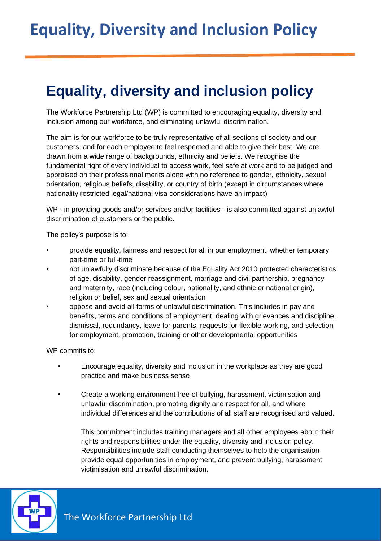## **Equality, diversity and inclusion policy**

The Workforce Partnership Ltd (WP) is committed to encouraging equality, diversity and inclusion among our workforce, and eliminating unlawful discrimination.

The aim is for our workforce to be truly representative of all sections of society and our customers, and for each employee to feel respected and able to give their best. We are drawn from a wide range of backgrounds, ethnicity and beliefs. We recognise the fundamental right of every individual to access work, feel safe at work and to be judged and appraised on their professional merits alone with no reference to gender, ethnicity, sexual orientation, religious beliefs, disability, or country of birth (except in circumstances where nationality restricted legal/national visa considerations have an impact)

WP - in providing goods and/or services and/or facilities - is also committed against unlawful discrimination of customers or the public.

The policy's purpose is to:

- provide equality, fairness and respect for all in our employment, whether temporary, part-time or full-time
- not unlawfully discriminate because of the Equality Act 2010 protected characteristics of age, disability, gender reassignment, marriage and civil partnership, pregnancy and maternity, race (including colour, nationality, and ethnic or national origin), religion or belief, sex and sexual orientation
- oppose and avoid all forms of unlawful discrimination. This includes in pay and benefits, terms and conditions of employment, dealing with grievances and discipline, dismissal, redundancy, leave for parents, requests for flexible working, and selection for employment, promotion, training or other developmental opportunities

WP commits to:

- Encourage equality, diversity and inclusion in the workplace as they are good practice and make business sense
- Create a working environment free of bullying, harassment, victimisation and unlawful discrimination, promoting dignity and respect for all, and where individual differences and the contributions of all staff are recognised and valued.

This commitment includes training managers and all other employees about their rights and responsibilities under the equality, diversity and inclusion policy. Responsibilities include staff conducting themselves to help the organisation provide equal opportunities in employment, and prevent bullying, harassment, victimisation and unlawful discrimination.

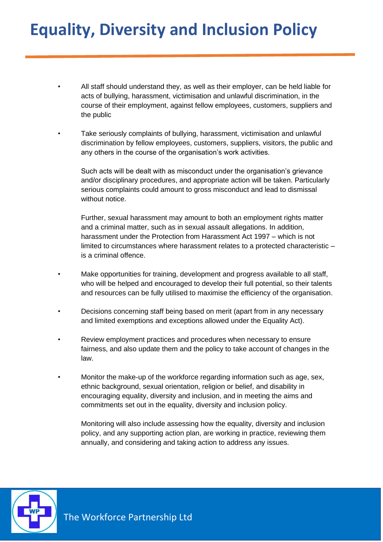• All staff should understand they, as well as their employer, can be held liable for acts of bullying, harassment, victimisation and unlawful discrimination, in the course of their employment, against fellow employees, customers, suppliers and the public

• Take seriously complaints of bullying, harassment, victimisation and unlawful discrimination by fellow employees, customers, suppliers, visitors, the public and any others in the course of the organisation's work activities.

Such acts will be dealt with as misconduct under the organisation's grievance and/or disciplinary procedures, and appropriate action will be taken. Particularly serious complaints could amount to gross misconduct and lead to dismissal without notice.

Further, sexual harassment may amount to both an employment rights matter and a criminal matter, such as in sexual assault allegations. In addition, harassment under the Protection from Harassment Act 1997 – which is not limited to circumstances where harassment relates to a protected characteristic – is a criminal offence.

- Make opportunities for training, development and progress available to all staff, who will be helped and encouraged to develop their full potential, so their talents and resources can be fully utilised to maximise the efficiency of the organisation.
- Decisions concerning staff being based on merit (apart from in any necessary and limited exemptions and exceptions allowed under the Equality Act).
- Review employment practices and procedures when necessary to ensure fairness, and also update them and the policy to take account of changes in the law.
- Monitor the make-up of the workforce regarding information such as age, sex, ethnic background, sexual orientation, religion or belief, and disability in encouraging equality, diversity and inclusion, and in meeting the aims and commitments set out in the equality, diversity and inclusion policy.

Monitoring will also include assessing how the equality, diversity and inclusion policy, and any supporting action plan, are working in practice, reviewing them annually, and considering and taking action to address any issues.